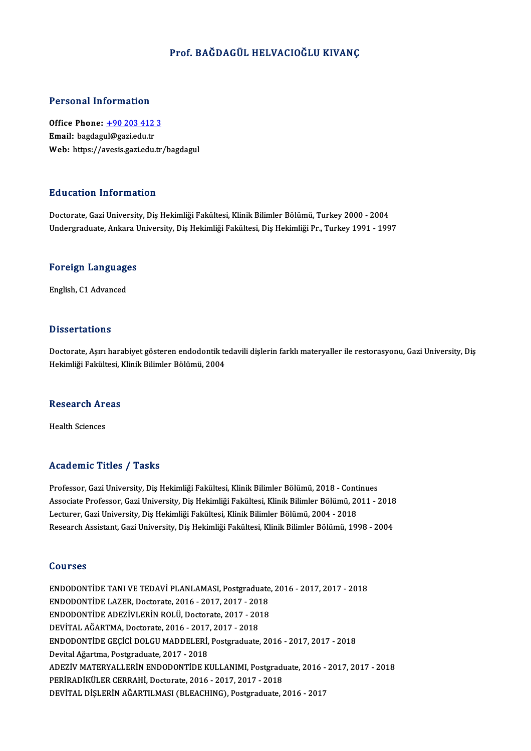### Prof. BAĞDAGÜL HELVACIOĞLU KIVANC

#### Personal Information

Personal Information<br>Office Phone: <u>+90 203 412 3</u><br>Email: bagdagyl@gari.edu.tr office Phone: <u>+90 203 412</u><br>Email: bagdag[ul@gazi.edu.tr](tel:+90 203 412 3)<br>Web: https://avesis.gazi.edu.tr Email: bagdagul@gazi.edu.tr<br>Web: https://avesis.gazi.edu.tr/bagdagul

#### Education Information

Doctorate, Gazi University, Diş Hekimliği Fakültesi, Klinik Bilimler Bölümü, Turkey 2000 - 2004 Undergraduate, Ankara University, Diş Hekimliği Fakültesi, Diş Hekimliği Pr., Turkey 1991 - 1997

# <sub>Undergraduate, Ankara t<br>Foreign Languages</sub> <mark>Foreign Languag</mark>e<br>English, C1 Advanced

English, C1 Advanced<br>Dissertations

Doctorate, Aşırı harabiyet gösteren endodontik tedavili dişlerin farklı materyaller ile restorasyonu, Gazi University, Diş Hekimliği Fakültesi, Klinik Bilimler Bölümü, 2004

# nekiniigi rakultesi, r<br>Research Areas R<mark>esearch Ar</mark><br>Health Sciences

# Academic Titles / Tasks

Professor, Gazi University, Diş Hekimliği Fakültesi, Klinik Bilimler Bölümü, 2018 - Continues Associate Articus 7 Austis<br>Professor, Gazi University, Diş Hekimliği Fakültesi, Klinik Bilimler Bölümü, 2018 - Continues<br>Associate Professor, Gazi University, Diş Hekimliği Fakültesi, Klinik Bilimler Bölümü, 2011 - 2018<br>Le Professor, Gazi University, Diş Hekimliği Fakültesi, Klinik Bilimler Bölümü, 2018 - Cont<br>Associate Professor, Gazi University, Diş Hekimliği Fakültesi, Klinik Bilimler Bölümü, 20<br>Lecturer, Gazi University, Diş Hekimliği Fa Associate Professor, Gazi University, Diş Hekimliği Fakültesi, Klinik Bilimler Bölümü, 2011 - 2018<br>Lecturer, Gazi University, Diş Hekimliği Fakültesi, Klinik Bilimler Bölümü, 2004 - 2018<br>Research Assistant, Gazi University Research Assistant, Gazi University, Diş Hekimliği Fakültesi, Klinik Bilimler Bölümü, 1998 - 2004<br>Courses

Courses<br>ENDODONTİDE TANI VE TEDAVİ PLANLAMASI, Postgraduate, 2016 - 2017, 2017 - 2018<br>ENDODONTİDE LAZER, Postarata, 2016 - 2017, 2017, 2018 ENDODONTİDE TANI VE TEDAVİ PLANLAMASI, Postgraduate<br>ENDODONTİDE LAZER, Doctorate, 2016 - 2017, 2017 - 2018<br>ENDODONTİDE ADEZİVI ERİN BOLÜ Doctorate, 2017, -2018 ENDODONTİDE TANI VE TEDAVİ PLANLAMASI, Postgraduate,<br>ENDODONTİDE LAZER, Doctorate, 2016 - 2017, 2017 - 2018<br>ENDODONTİDE ADEZİVLERİN ROLÜ, Doctorate, 2017 - 2018<br>DEVİTAL AČAPTMA, Doctorate, 2016 - 2017, 2017, 2019 ENDODONTIDE LAZER, Doctorate, 2016 - 2017, 2017 - 2018<br>ENDODONTIDE ADEZIVLERIN ROLÜ, Doctorate, 2017 - 2018 ENDODONTİDE GEÇİCİ DOLGU MADDELERİ, Postgraduate, 2016 - 2017, 2017 - 2018<br>Devital Ağartma, Postgraduate, 2017 - 2018 DEVİTAL AĞARTMA, Doctorate, 2016 - 2017, 2017 - 2018 ENDODONTİDE GEÇİCİ DOLGU MADDELERİ, Postgraduate, 2016 - 2017, 2017 - 2018<br>Devital Ağartma, Postgraduate, 2017 - 2018<br>ADEZİV MATERYALLERİN ENDODONTİDE KULLANIMI, Postgraduate, 2016 - 2017, 2017 - 2018<br>PERİRADİYÜLER CERRAHL Devital Ağartma, Postgraduate, 2017 - 2018<br>ADEZİV MATERYALLERİN ENDODONTİDE KULLANIMI, Postgradı<br>PERİRADİKÜLER CERRAHİ, Doctorate, 2016 - 2017, 2017 - 2018<br>PEVİTAL DİSLERİN AĞARTILMASI (BLEACHING), Bostgraduate ( PERİRADİKÜLER CERRAHİ, Doctorate, 2016 - 2017, 2017 - 2018<br>DEVİTAL DİŞLERİN AĞARTILMASI (BLEACHING), Postgraduate, 2016 - 2017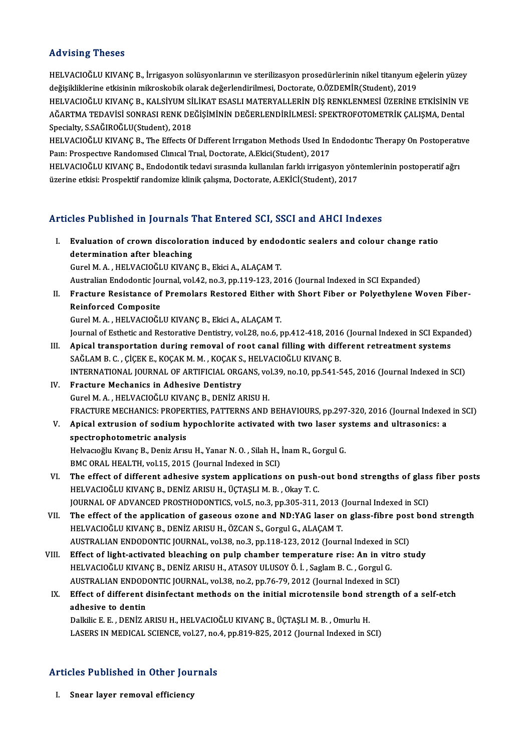### Advising Theses

Advising Theses<br>HELVACIOĞLU KIVANÇ B., İrrigasyon solüsyonlarının ve sterilizasyon prosedürlerinin nikel titanyum eğelerin yüzey<br>değişikliklerine etkişinin mikreekebik elerek değerlendirilmesi, Desterate O ÖZDEMİR(Student) rra vising i neses<br>HELVACIOĞLU KIVANÇ B., İrrigasyon solüsyonlarının ve sterilizasyon prosedürlerinin nikel titanyum e<br>değişikliklerine etkisinin mikroskobik olarak değerlendirilmesi, Doctorate, O.ÖZDEMİR(Student), 2019<br>HE HELVACIOĞLU KIVANÇ B., İrrigasyon solüsyonlarının ve sterilizasyon prosedürlerinin nikel titanyum eğelerin yüzey<br>değişikliklerine etkisinin mikroskobik olarak değerlendirilmesi, Doctorate, O.ÖZDEMİR(Student), 2019<br>HELVACIO değişikliklerine etkisinin mikroskobik olarak değerlendirilmesi, Doctorate, O.ÖZDEMİR(Student), 2019<br>HELVACIOĞLU KIVANÇ B., KALSİYUM SİLİKAT ESASLI MATERYALLERİN DİŞ RENKLENMESİ ÜZERİNE ETKİSİNİN VI<br>AĞARTMA TEDAVİSİ SONRAS HELVACIOĞLU KIVANÇ B., KALSİYUM Sİ<br>AĞARTMA TEDAVİSİ SONRASI RENK DE<br>Specialty, S.SAĞIROĞLU(Student), 2018<br>HELVACIOĞLU KIVANC B. The Effecte Q AĞARTMA TEDAVİSİ SONRASI RENK DEĞİŞİMİNİN DEĞERLENDİRİLMESİ: SPEKTROFOTOMETRİK ÇALIŞMA, Dental<br>Specialty, S.SAĞIROĞLU(Student), 2018<br>HELVACIOĞLU KIVANÇ B., The Effects Of Different Irrıgatıon Methods Used In Endodontıc The

Specialty, S.SAĞIROĞLU(Student), 2018<br>HELVACIOĞLU KIVANÇ B., The Effects Of Different Irrigation Methods Used In<br>Pain: Prospective Randomised Clinical Trial, Doctorate, A.Ekici(Student), 2017<br>HELVACIOĞLU KIVANC B., Endodon HELVACIOĞLU KIVANÇ B., The Effects Of Different Irrigation Methods Used In Endodontic Therapy On Postoperati<br>Pain: Prospective Randomised Clinical Trial, Doctorate, A.Ekici(Student), 2017<br>HELVACIOĞLU KIVANÇ B., Endodontik

Pam: Prospective Randomised Clinical Trial, Doctorate, A.Ekici(Student), 2017<br>HELVACIOĞLU KIVANÇ B., Endodontik tedavi sırasında kullanılan farklı irrigasyon yöntemlerinin postoperatif ağrı<br>üzerine etkisi: Prospektif rando

### Articles Published in Journals That Entered SCI, SSCI and AHCI Indexes

rticles Published in Journals That Entered SCI, SSCI and AHCI Indexes<br>I. Evaluation of crown discoloration induced by endodontic sealers and colour change ratio determination after bleaching<br>determination after bleaching<br>Curel M. A. HELVACIOČLU KIVAN Evaluation of crown discoloration induced by endod<br>determination after bleaching<br>Gurel M.A., HELVACIOĞLU KIVANÇ B., Ekici A., ALAÇAM T.<br>Australian Endodantis Journal val 42, no 2, np 110,122, 20 determination after bleaching<br>Gurel M. A. , HELVACIOĞLU KIVANÇ B., Ekici A., ALAÇAM T.<br>Australian Endodontic Journal, vol.42, no.3, pp.119-123, 2016 (Journal Indexed in SCI Expanded)

II. Fracture Resistance of Premolars Restored Either with Short Fiber or Polyethylene Woven Fiber-Reinforced Composite

GurelM.A. ,HELVACIOĞLUKIVANÇB.,EkiciA.,ALAÇAMT.

Journal of Esthetic and Restorative Dentistry, vol.28, no.6, pp.412-418, 2016 (Journal Indexed in SCI Expanded)

- Gurel M. A. , HELVACIOĞLU KIVANÇ B., Ekici A., ALAÇAM T.<br>Journal of Esthetic and Restorative Dentistry, vol.28, no.6, pp.412-418, 2016 (Journal Indexed in SCI Expansion<br>III. Apical transportation during removal of root can Journal of Esthetic and Restorative Dentistry, vol.28, no.6, pp.412-418, 2016<br>Apical transportation during removal of root canal filling with diff<br>SAĞLAM B. C. , ÇİÇEK E., KOÇAK M. M. , KOÇAK S., HELVACIOĞLU KIVANÇ B.<br>INTE Apical transportation during removal of root canal filling with different retreatment systems<br>SAĞLAM B. C. , ÇİÇEK E., KOÇAK M. M. , KOÇAK S., HELVACIOĞLU KIVANÇ B.<br>INTERNATIONAL JOURNAL OF ARTIFICIAL ORGANS, vol.39, no.10 SAĞLAM B. C., ÇİÇEK E., KOÇAK M. M., KOÇAK S.<br>INTERNATIONAL JOURNAL OF ARTIFICIAL ORG.<br>IV. Fracture Mechanics in Adhesive Dentistry<br>Curel M. A., HELVACIOČI II KIVANC B. DENİZ A.
- INTERNATIONAL JOURNAL OF ARTIFICIAL ORGANS, vo<br>Fracture Mechanics in Adhesive Dentistry<br>Gurel M. A. , HELVACIOĞLU KIVANÇ B., DENİZ ARISU H.<br>ERACTURE MECHANICS: BROBERTIES RATTERNS AND IV. Fracture Mechanics in Adhesive Dentistry<br>Gurel M. A., HELVACIOĞLU KIVANÇ B., DENİZ ARISU H.<br>FRACTURE MECHANICS: PROPERTIES, PATTERNS AND BEHAVIOURS, pp.297-320, 2016 (Journal Indexed in SCI) Gurel M. A. , HELVACIOĞLU KIVANÇ B., DENİZ ARISU H.<br>FRACTURE MECHANICS: PROPERTIES, PATTERNS AND BEHAVIOURS, pp.297-320, 2016 (Journal Indexed<br>V. Apical extrusion of sodium hypochlorite activated with two laser systems
- FRACTURE MECHANICS: PROPEF<br>Apical extrusion of sodium h<br>spectrophotometric analysis<br>Helvespělu Kurane B. Deniz Arus Apical extrusion of sodium hypochlorite activated with two laser sy<br>spectrophotometric analysis<br>Helvacıoğlu Kıvanç B., Deniz Arısu H., Yanar N. O. , Silah H., İnam R., Gorgul G.<br>PMC OPAL HEALTH vol 15, 2015 (Journal Indove

spectrophotometric analysis<br>Helvacıoğlu Kıvanç B., Deniz Arısu H., Yanar N. O. , Silah H., İnam R., Gorgul G.<br>BMC ORAL HEALTH, vol.15, 2015 (Journal Indexed in SCI)

- Helvacioğlu Kivanç B., Deniz Arisu H., Yanar N. O. , Silah H., İnam R., Gorgul G.<br>BMC ORAL HEALTH, vol.15, 2015 (Journal Indexed in SCI)<br>VI. The effect of different adhesive system applications on push-out bond strengths o BMC ORAL HEALTH, vol.15, 2015 (Journal Indexed in SCI)<br>The effect of different adhesive system applications on push-<br>HELVACIOĞLU KIVANÇ B., DENİZ ARISU H., ÜÇTAŞLI M. B. , Okay T. C.<br>JOUPNAL OF ADVANÇED PROSTHODONTICS vol The effect of different adhesive system applications on push-out bond strengths of glass<br>HELVACIOĞLU KIVANÇ B., DENİZ ARISU H., ÜÇTAŞLI M. B. , Okay T. C.<br>JOURNAL OF ADVANCED PROSTHODONTICS, vol.5, no.3, pp.305-311, 2013 ( JOURNAL OF ADVANCED PROSTHODONTICS, vol.5, no.3, pp.305-311, 2013 (Journal Indexed in SCI)
- HELVACIOĞLU KIVANÇ B., DENİZ ARISU H., ÜÇTAŞLI M. B. , Okay T. C.<br>JOURNAL OF ADVANCED PROSTHODONTICS, vol.5, no.3, pp.305-311, 2013 (Journal Indexed in SCI)<br>VII. The effect of the application of gaseous ozone and ND:YAG la The effect of the application of gaseous ozone and ND:YAG laser on glass-fibre post<br>HELVACIOĞLU KIVANÇ B., DENİZ ARISU H., ÖZCAN S., Gorgul G., ALAÇAM T.<br>AUSTRALIAN ENDODONTIC JOURNAL, vol.38, no.3, pp.118-123, 2012 (Journ HELVACIOĞLU KIVANÇ B., DENİZ ARISU H., ÖZCAN S., Gorgul G., ALAÇAM T.<br>AUSTRALIAN ENDODONTIC JOURNAL, vol.38, no.3, pp.118-123, 2012 (Journal Indexed in SCI)<br>VIII. Effect of light-activated bleaching on pulp chamber tempera
- AUSTRALIAN ENDODONTIC JOURNAL, vol.38, no.3, pp.118-123, 2012 (Journal Indexed in<br>Effect of light-activated bleaching on pulp chamber temperature rise: An in vit.<br>HELVACIOĞLU KIVANÇ B., DENİZ ARISU H., ATASOY ULUSOY Ö. İ. Effect of light-activated bleaching on pulp chamber temperature rise: An in vitro<br>HELVACIOĞLU KIVANÇ B., DENİZ ARISU H., ATASOY ULUSOY Ö. İ. , Saglam B. C. , Gorgul G.<br>AUSTRALIAN ENDODONTIC JOURNAL, vol.38, no.2, pp.76-79, HELVACIOĞLU KIVANÇ B., DENİZ ARISU H., ATASOY ULUSOY Ö. İ. , Saglam B. C. , Gorgul G.<br>AUSTRALIAN ENDODONTIC JOURNAL, vol.38, no.2, pp.76-79, 2012 (Journal Indexed in SCI)<br>IX. Effect of different disinfectant methods on the

## AUSTRALIAN ENDOD<br>Effect of different c<br>adhesive to dentin<br>Dalkije E. E. DENİZ A Effect of different disinfectant methods on the initial microtensile bond st<br>adhesive to dentin<br>Dalkilic E. E. , DENİZ ARISU H., HELVACIOĞLU KIVANÇ B., ÜÇTAŞLI M. B. , Omurlu H.<br>LASERS IN MEDICAL SCIENCE vel 27. no.4. np.9

adhesive to dentin<br>Dalkilic E. E. , DENİZ ARISU H., HELVACIOĞLU KIVANÇ B., ÜÇTAŞLI M. B. , Omurlu H.<br>LASERS IN MEDICAL SCIENCE, vol.27, no.4, pp.819-825, 2012 (Journal Indexed in SCI)

# Articles Published in Other Journals rticles Published in Other Jou<br><sub>I. Snear layer removal efficiency</sub>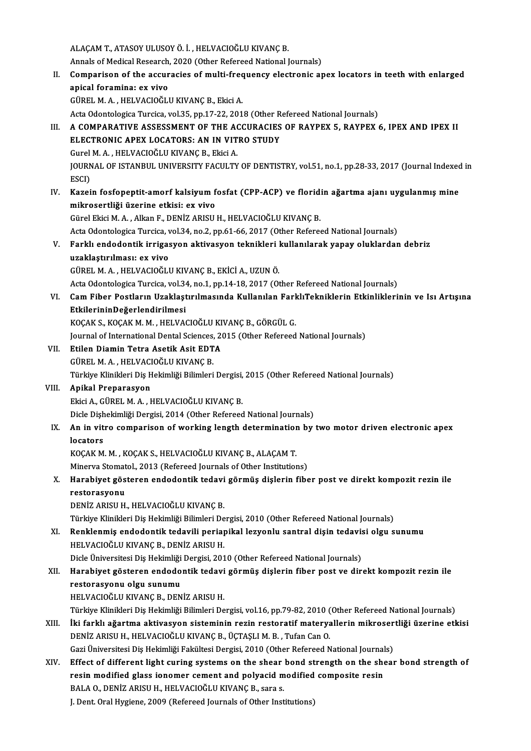ALAÇAM T., ATASOY ULUSOY Ö. İ., HELVACIOĞLU KIVANÇ B.

ALAÇAM T., ATASOY ULUSOY Ö. İ. , HELVACIOĞLU KIVANÇ B.<br>Annals of Medical Research, 2020 (Other Refereed National Journals)<br>Companison of the assuracies of multi frequensy electronis ay

ALAÇAM T., ATASOY ULUSOY Ö. İ. , HELVACIOĞLU KIVANÇ B.<br>Annals of Medical Research, 2020 (Other Refereed National Journals)<br>II. Comparison of the accuracies of multi-frequency electronic apex locators in teeth with enlarged Annals of Medical Research,<br>Comparison of the accur<br>apical foramina: ex vivo Comparison of the accuracies of multi-free<br>apical foramina: ex vivo<br>GÜREL M.A., HELVACIOĞLU KIVANÇ B., Ekici A. apical foramina: ex vivo<br>GÜREL M. A. , HELVACIOĞLU KIVANÇ B., Ekici A.<br>Acta Odontologica Turcica, vol.35, pp.17-22, 2018 (Other Refereed National Journals)

- GÜREL M. A. , HELVACIOĞLU KIVANÇ B., Ekici A.<br>Acta Odontologica Turcica, vol.35, pp.17-22, 2018 (Other Refereed National Journals)<br>III. A COMPARATIVE ASSESSMENT OF THE ACCURACIES OF RAYPEX 5, RAYPEX 6, IPEX AND IPEX II Acta Odontologica Turcica, vol.35, pp.17-22, 2018 (Other R<br>A COMPARATIVE ASSESSMENT OF THE ACCURACIES<br>ELECTRONIC APEX LOCATORS: AN IN VITRO STUDY<br>Curol M. A., HELVACIOČI II KIVANC R., Elici A A COMPARATIVE ASSESSMENT OF THE AC<br>ELECTRONIC APEX LOCATORS: AN IN VIT<br>Gurel M. A. , HELVACIOĞLU KIVANÇ B., Ekici A.<br>JOUPNAL OF ISTANPUL UNIVERSITY FACULTY ELECTRONIC APEX LOCATORS: AN IN VITRO STUDY<br>Gurel M. A. , HELVACIOĞLU KIVANÇ B., Ekici A.<br>JOURNAL OF ISTANBUL UNIVERSITY FACULTY OF DENTISTRY, vol.51, no.1, pp.28-33, 2017 (Journal Indexed in<br>ESCI) Gurel<br>JOURN<br>ESCI)<br>Kazai
- JOURNAL OF ISTANBUL UNIVERSITY FACULTY OF DENTISTRY, vol.51, no.1, pp.28-33, 2017 (Journal Indexed<br>ESCI)<br>IV. Kazein fosfopeptit-amorf kalsiyum fosfat (CPP-ACP) ve floridin ağartma ajanı uygulanmış mine<br>mikrooontliği üzerin ESCI)<br>IV. Kazein fosfopeptit-amorf kalsiyum fosfat (CPP-ACP) ve floridin ağartma ajanı uygulanmış mine<br>mikrosertliği üzerine etkisi: ex vivo

Gürel Ekici M. A., Alkan F., DENİZ ARISU H., HELVACIOĞLU KIVANÇ B.

mikrosertliği üzerine etkisi: ex vivo<br>Gürel Ekici M. A. , Alkan F., DENİZ ARISU H., HELVACIOĞLU KIVANÇ B.<br>Acta Odontologica Turcica, vol.34, no.2, pp.61-66, 2017 (Other Refereed National Journals)<br>Ferklı andodentik innises

## Gürel Ekici M. A. , Alkan F., DENİZ ARISU H., HELVACIOĞLU KIVANÇ B.<br>Acta Odontologica Turcica, vol.34, no.2, pp.61-66, 2017 (Other Refereed National Journals)<br>V. Farklı endodontik irrigasyon aktivasyon teknikleri kullan Acta Odontologica Turcica, v<br>Farklı endodontik irrigas<br>uzaklaştırılması: ex vivo<br>C<sup>üpel MA</sup> HELVACIOČLI Farklı endodontik irrigasyon aktivasyon teknikleri |<br>| uzaklaştırılması: ex vivo<br>GÜREL M. A. , HELVACIOĞLU KIVANÇ B., EKİCİ A., UZUN Ö.<br>Asta Odantalasisa Tursisa val 34 na 1 nn 14 19 2017 (O) uzaklaştırılması: ex vivo<br>GÜREL M. A. , HELVACIOĞLU KIVANÇ B., EKİCİ A., UZUN Ö.<br>Acta Odontologica Turcica, vol.34, no.1, pp.14-18, 2017 (Other Refereed National Journals)<br>Cam Eibar Bostlanın Uraklastınılmasında Kullanılan

GÜREL M. A. , HELVACIOĞLU KIVANÇ B., EKİCİ A., UZUN Ö.<br>Acta Odontologica Turcica, vol.34, no.1, pp.14-18, 2017 (Other Refereed National Journals)<br>VI. Cam Fiber Postların Uzaklaştırılmasında Kullanılan FarklıTekniklerin Acta Odontologica Turcica, vol.34<br>Cam Fiber Postların Uzaklaşt<br>EtkilerininDeğerlendirilmesi<br>KOCAK S. KOCAK M. M. HELVA Cam Fiber Postların Uzaklaştırılmasında Kullanılan Farl<br>EtkilerininDeğerlendirilmesi<br>KOÇAK S., KOÇAK M. M. , HELVACIOĞLU KIVANÇ B., GÖRGÜL G.<br>Journal of International Dental Sciences, 2015 (Other Pefereed EtkilerininDeğerlendirilmesi<br>KOÇAK S., KOÇAK M. M. , HELVACIOĞLU KIVANÇ B., GÖRGÜL G.<br>Journal of International Dental Sciences, 2015 (Other Refereed National Journals)<br>Etilen Diemin Tetre Asetik Asit EDTA

KOÇAK S., KOÇAK M. M. , HELVACIOĞLU KI<br>Journal of International Dental Sciences, 20<br>VII. Etilen Diamin Tetra Asetik Asit EDTA<br>CÜPEL M. A. HELVACIOĞLU KIVANC P Journal of International Dental Sciences,<br><mark>Etilen Diamin Tetra Asetik Asit EDT</mark><br>GÜREL M. A. , HELVACIOĞLU KIVANÇ B.<br>Türkiye Klinikleri Diş Hekimliği Bilimleri

Etilen Diamin Tetra Asetik Asit EDTA<br>GÜREL M. A. , HELVACIOĞLU KIVANÇ B.<br>Türkiye Klinikleri Diş Hekimliği Bilimleri Dergisi, 2015 (Other Refereed National Journals)<br>Anikal Prenaresyon

GÜREL M. A. , HELVACIOĞLU KIVANÇ B.<br>Türkiye Klinikleri Diş Hekimliği Bilimleri Dergisi,<br>VIII. **Apikal Preparasyon**<br>Ekici A., GÜREL M. A. , HELVACIOĞLU KIVANÇ B. Türkiye Klinikleri Diş Hekimliği Bilimleri Dergisi,<br><mark>Apikal Preparasyon</mark><br>Ekici A., GÜREL M. A. , HELVACIOĞLU KIVANÇ B.<br>Disle Dishekimliği Dergisi, 2014. (Other Befereed Apikal Preparasyon<br>Ekici A., GÜREL M. A. , HELVACIOĞLU KIVANÇ B.<br>Dicle Dişhekimliği Dergisi, 2014 (Other Refereed National Journals)<br>An in vitre semnarisen of werking length determination by.

## IX. An in vitro comparison of working length determination by two motor driven electronic apex Dicle Dişh<br>**An in vit**<br>locators<br>*VOCAV* M An in vitro comparison of working length determination<br>locators<br>KOÇAK M. M., KOÇAK S., HELVACIOĞLU KIVANÇ B., ALAÇAM T.<br>Minewy Stematel, 2012 (Befeneed Journals of Other Institution

locators<br>KOÇAK M. M. , KOÇAK S., HELVACIOĞLU KIVANÇ B., ALAÇAM T.<br>Minerva Stomatol., 2013 (Refereed Journals of Other Institutions)<br>Harabiyet gösteren andadantik tedavi görmüş dialerin fibe

### KOÇAK M. M. , KOÇAK S., HELVACIOĞLU KIVANÇ B., ALAÇAM T.<br>Minerva Stomatol., 2013 (Refereed Journals of Other Institutions)<br>X. Harabiyet gösteren endodontik tedavi görmüş dişlerin fiber post ve direkt kompozit rezin ile Minerva Stomat<br><mark>Harabiyet gös</mark><br>restorasyonu<br>DENİZ ADISLI H Harabiyet gösteren endodontik tedavi<br>restorasyonu<br>DENİZ ARISU H., HELVACIOĞLU KIVANÇ B.<br>Türkiye Klinikleri Die Hekimliği Bilimleri De restorasyonu<br>DENİZ ARISU H., HELVACIOĞLU KIVANÇ B.<br>Türkiye Klinikleri Diş Hekimliği Bilimleri Dergisi, 2010 (Other Refereed National Journals)

## DENİZ ARISU H., HELVACIOĞLU KIVANÇ B.<br>Türkiye Klinikleri Diş Hekimliği Bilimleri Dergisi, 2010 (Other Refereed National Journals)<br>XI. Renklenmiş endodontik tedavili periapikal lezyonlu santral dişin tedavisi olgu sunum Türkiye Klinikleri Diş Hekimliği Bilimleri De<br><mark>Renklenmiş endodontik tedavili periaj</mark><br>HELVACIOĞLU KIVANÇ B., DENİZ ARISU H.<br>Disle Üniversitesi Dis Hekimliği Dergisi 201 Renklenmiş endodontik tedavili periapikal lezyonlu santral dişin tedavi:<br>HELVACIOĞLU KIVANÇ B., DENİZ ARISU H.<br>Dicle Üniversitesi Diş Hekimliği Dergisi, 2010 (Other Refereed National Journals)<br>Harabiyet gösteren andadantik

### HELVACIOĞLU KIVANÇ B., DENİZ ARISU H.<br>Dicle Üniversitesi Diş Hekimliği Dergisi, 2010 (Other Refereed National Journals)<br>XII. Harabiyet gösteren endodontik tedavi görmüş dişlerin fiber post ve direkt kompozit rezin ile<br> Dicle Üniversitesi Diş Hekimliği<br>Harabiyet gösteren endodo<br>restorasyonu olgu sunumu<br>HELVACIOČLU KIVANC B. DEN Harabiyet gösteren endodontik tedavi<br>restorasyonu olgu sunumu<br>HELVACIOĞLU KIVANÇ B., DENİZ ARISU H.<br>Türkiye Klinikleri Diş Hekimliği Bilimleri De restorasyonu olgu sunumu<br>HELVACIOĞLU KIVANÇ B., DENİZ ARISU H.<br>Türkiye Klinikleri Diş Hekimliği Bilimleri Dergisi, vol.16, pp.79-82, 2010 (Other Refereed National Journals)

XIII. İki farklı ağartma aktivasyon sisteminin rezin restoratif materyallerin mikrosertliği üzerine etkisi DENİZ ARISU H., HELVACIOĞLU KIVANÇ B., ÜÇTAŞLI M. B., Tufan Can O.

Gazi Üniversitesi Diş Hekimliği Fakültesi Dergisi, 2010 (Other Refereed National Journals)

DENİZ ARISU H., HELVACIOĞLU KIVANÇ B., ÜÇTAŞLI M. B. , Tufan Can O.<br>Gazi Üniversitesi Diş Hekimliği Fakültesi Dergisi, 2010 (Other Refereed National Journals)<br>XIV. Effect of different light curing systems on the shear Gazi Üniversitesi Diş Hekimliği Fakültesi Dergisi, 2010 (Other Refereed National Journal<br>Effect of different light curing systems on the shear bond strength on the she<br>resin modified glass ionomer cement and polyacid modif Effect of different light curing systems on the shear<br>resin modified glass ionomer cement and polyacid m<br>BALA 0., DENİZ ARISU H., HELVACIOĞLU KIVANÇ B., sara s.<br>L Dent Oral Hygione 2000 (Befereed Jeurnals of Other Inst resin modified glass ionomer cement and polyacid modified composite resin<br>BALA 0., DENİZ ARISU H., HELVACIOĞLU KIVANÇ B., sara s.<br>J. Dent. Oral Hygiene, 2009 (Refereed Journals of Other Institutions)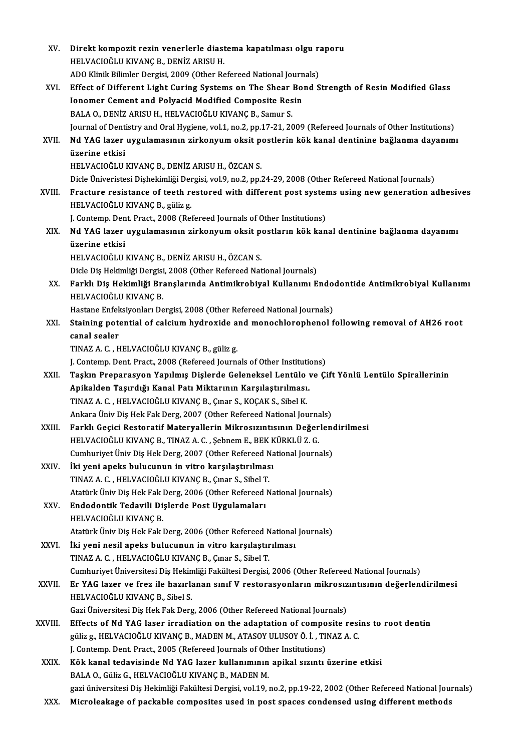| XV.     | Direkt kompozit rezin venerlerle diastema kapatılması olgu raporu                                                  |
|---------|--------------------------------------------------------------------------------------------------------------------|
|         | HELVACIOĞLU KIVANÇ B., DENİZ ARISU H.                                                                              |
|         | ADO Klinik Bilimler Dergisi, 2009 (Other Refereed National Journals)                                               |
| XVI.    | Effect of Different Light Curing Systems on The Shear Bond Strength of Resin Modified Glass                        |
|         | Ionomer Cement and Polyacid Modified Composite Resin<br>BALA O., DENİZ ARISU H., HELVACIOĞLU KIVANÇ B., Samur S.   |
|         |                                                                                                                    |
|         | Journal of Dentistry and Oral Hygiene, vol.1, no.2, pp.17-21, 2009 (Refereed Journals of Other Institutions)       |
| XVII.   | Nd YAG lazer uygulamasının zirkonyum oksit postlerin kök kanal dentinine bağlanma dayanımı<br>üzerine etkisi       |
|         |                                                                                                                    |
|         | HELVACIOĞLU KIVANÇ B., DENİZ ARISU H., ÖZCAN S.                                                                    |
|         | Dicle Üniveristesi Dişhekimliği Dergisi, vol.9, no.2, pp.24-29, 2008 (Other Refereed National Journals)            |
| XVIII.  | Fracture resistance of teeth restored with different post systems using new generation adhesives                   |
|         | HELVACIOĞLU KIVANÇ B., güliz g.                                                                                    |
|         | J. Contemp. Dent. Pract., 2008 (Refereed Journals of Other Institutions)                                           |
| XIX.    | Nd YAG lazer uygulamasının zirkonyum oksit postların kök kanal dentinine bağlanma dayanımı<br>üzerine etkisi       |
|         | HELVACIOĞLU KIVANÇ B., DENİZ ARISU H., ÖZCAN S.                                                                    |
|         | Dicle Diş Hekimliği Dergisi, 2008 (Other Refereed National Journals)                                               |
| XX.     | Farklı Diş Hekimliği Branşlarında Antimikrobiyal Kullanımı Endodontide Antimikrobiyal Kullanımı                    |
|         | HELVACIOĞLU KIVANÇ B                                                                                               |
|         | Hastane Enfeksiyonları Dergisi, 2008 (Other Refereed National Journals)                                            |
| XXI.    | Staining potential of calcium hydroxide and monochlorophenol following removal of AH26 root                        |
|         | canal sealer                                                                                                       |
|         | TINAZ A. C., HELVACIOĞLU KIVANÇ B., güliz g.                                                                       |
|         | J. Contemp. Dent. Pract., 2008 (Refereed Journals of Other Institutions)                                           |
| XXII.   | Taşkın Preparasyon Yapılmış Dişlerde Geleneksel Lentülo ve Çift Yönlü Lentülo Spirallerinin                        |
|         | Apikalden Taşırdığı Kanal Patı Miktarının Karşılaştırılması.                                                       |
|         | TINAZ A. C., HELVACIOĞLU KIVANÇ B., Çınar S., KOÇAK S., Sibel K.                                                   |
|         | Ankara Üniv Dis Hek Fak Derg, 2007 (Other Refereed National Journals)                                              |
| XXIII.  | Farklı Geçici Restoratif Materyallerin Mikrosızıntısının Değerlendirilmesi                                         |
|         | HELVACIOĞLU KIVANÇ B., TINAZ A. C., Şebnem E., BEK KÜRKLÜ Z. G.                                                    |
|         | Cumhuriyet Üniv Diş Hek Derg, 2007 (Other Refereed National Journals)                                              |
| XXIV.   | İki yeni apeks bulucunun in vitro karşılaştırılması                                                                |
|         | TINAZ A. C., HELVACIOĞLU KIVANÇ B., Çınar S., Sibel T.                                                             |
|         | Atatürk Üniv Diş Hek Fak Derg, 2006 (Other Refereed National Journals)                                             |
| XXV.    | Endodontik Tedavili Dişlerde Post Uygulamaları                                                                     |
|         | HELVACIOĞLU KIVANÇ B.                                                                                              |
|         | Atatürk Üniv Diş Hek Fak Derg, 2006 (Other Refereed National Journals)                                             |
| XXVI.   | İki yeni nesil apeks bulucunun in vitro karşılaştırılması                                                          |
|         | TINAZ A. C., HELVACIOĞLU KIVANÇ B., Çınar S., Sibel T.                                                             |
|         | Cumhuriyet Üniversitesi Diş Hekimliği Fakültesi Dergisi, 2006 (Other Refereed National Journals)                   |
| XXVII.  | Er YAG lazer ve frez ile hazırlanan sınıf V restorasyonların mikrosızıntısının değerlendirilmesi                   |
|         | HELVACIOĞLU KIVANÇ B., Sibel S.                                                                                    |
|         | Gazi Üniversitesi Diş Hek Fak Derg, 2006 (Other Refereed National Journals)                                        |
| XXVIII. | Effects of Nd YAG laser irradiation on the adaptation of composite resins to root dentin                           |
|         | güliz g., HELVACIOĞLU KIVANÇ B., MADEN M., ATASOY ULUSOY Ö. İ., TINAZ A. C.                                        |
|         | J. Contemp. Dent. Pract., 2005 (Refereed Journals of Other Institutions)                                           |
| XXIX.   | Kök kanal tedavisinde Nd YAG lazer kullanımının apikal sızıntı üzerine etkisi                                      |
|         | BALA O., Güliz G., HELVACIOĞLU KIVANÇ B., MADEN M.                                                                 |
|         | gazi üniversitesi Diş Hekimliği Fakültesi Dergisi, vol.19, no.2, pp.19-22, 2002 (Other Refereed National Journals) |
| XXX.    | Microleakage of packable composites used in post spaces condensed using different methods                          |
|         |                                                                                                                    |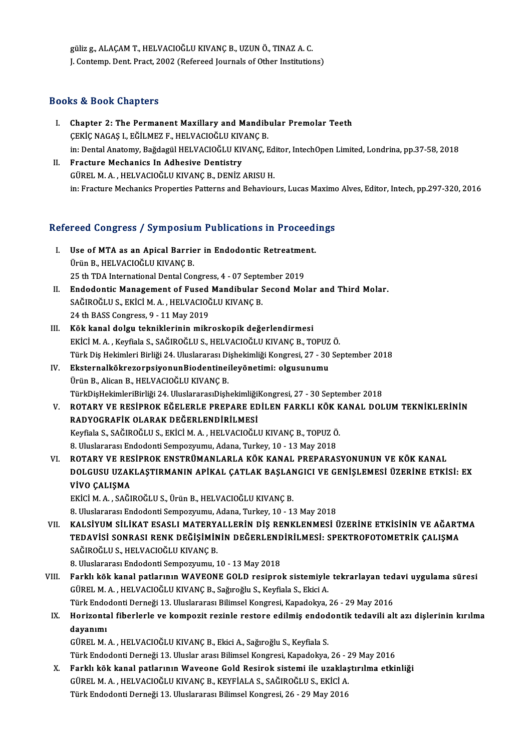güliz g., ALAÇAM T., HELVACIOĞLU KIVANÇ B., UZUN Ö., TINAZ A. C. J. Contemp. Dent. Pract, 2002 (Refereed Journals of Other Institutions)

### Books&Book Chapters

- I. Chapter 2: The Permanent Maxillary and Mandibular Premolar Teeth **EV EV YOSH SHAP EST SERIFIRM**<br>Chapter 2: The Permanent Maxillary and Mandib<br>ÇEKİÇ NAGAŞ I., EĞİLMEZ F., HELVACIOĞLU KIVANÇ B.<br>in: Dental Anatomy, Bağdagül HELVACIOĞLU KIVANÇ B. Chapter 2: The Permanent Maxillary and Mandibular Premolar Teeth<br>ÇEKİÇ NAGAŞ I., EĞİLMEZ F., HELVACIOĞLU KIVANÇ B.<br>in: Dental Anatomy, Bağdagül HELVACIOĞLU KIVANÇ, Editor, IntechOpen Limited, Londrina, pp.37-58, 2018<br>Frast CEKİÇ NAGAŞ I., EĞİLMEZ F., HELVACIOĞLU KIV<br>in: Dental Anatomy, Bağdagül HELVACIOĞLU KIV<br>II. Fracture Mechanics In Adhesive Dentistry
- in: Dental Anatomy, Bağdagül HELVACIOĞLU KIVANÇ, Ed<br>Fracture Mechanics In Adhesive Dentistry<br>GÜREL M. A. , HELVACIOĞLU KIVANÇ B., DENİZ ARISU H.<br>in: Exacture Mechanics Pranarties Pattares and Pehaviou II. Fracture Mechanics In Adhesive Dentistry<br>GÜREL M. A. , HELVACIOĞLU KIVANÇ B., DENİZ ARISU H.<br>in: Fracture Mechanics Properties Patterns and Behaviours, Lucas Maximo Alves, Editor, Intech, pp.297-320, 2016

# m: Fracture Mechanics Properties Patterns and Benaviours, Lucas Maximo<br>Refereed Congress / Symposium Publications in Proceedings

- efereed Congress / Symposium Publications in Proceeding<br>I. Use of MTA as an Apical Barrier in Endodontic Retreatment.<br>Thin B. WELVACIOČLU KWANG B I. Use of MTA as an Apical Barrier in Endodontic Retreatment.<br>Ürün B., HELVACIOĞLU KIVANÇ B. Use of MTA as an Apical Barrier in Endodontic Retreatmer<br>Ürün B., HELVACIOĞLU KIVANÇ B.<br>25 th TDA International Dental Congress, 4 - 07 September 2019<br>Endodontic Managamant of Eused Mandibular Second Mal Urün B., HELVACIOĞLU KIVANÇ B.<br>25 th TDA International Dental Congress, 4 - 07 September 2019<br>II. Endodontic Management of Fused Mandibular Second Molar and Third Molar.<br>SAČIROČLUS EVICLM A. HELVACIOČLU KIVANC R
- 25 th TDA International Dental Congress, 4 07 Septe<br>Endodontic Management of Fused Mandibular S<br>SAĞIROĞLU S., EKİCİ M. A. , HELVACIOĞLU KIVANÇ B.<br>24 th PASS Congress, 9 11 May 2019 Endodontic Management of Fused<br>SAĞIROĞLU S., EKİCİ M. A. , HELVACIOĞ<br>24 th BASS Congress, 9 - 11 May 2019<br>Kök kanal dalay takniklerinin mikr SAĞIROĞLU S., EKİCİ M. A. , HELVACIOĞLU KIVANÇ B.<br>24 th BASS Congress, 9 - 11 May 2019<br>III. Kök kanal dolgu tekniklerinin mikroskopik değerlendirmesi
- 24 th BASS Congress, 9 11 May 2019<br>**Kök kanal dolgu tekniklerinin mikroskopik değerlendirmesi**<br>EKİCİ M. A. , Keyfiala S., SAĞIROĞLU S., HELVACIOĞLU KIVANÇ B., TOPUZ Ö.<br>Türk Diş Hekimleri Birliği 24 Hluslararası Dishekim Kök kanal dolgu tekniklerinin mikroskopik değerlendirmesi<br>EKİCİ M. A. , Keyfiala S., SAĞIROĞLU S., HELVACIOĞLU KIVANÇ B., TOPUZ Ö.<br>Türk Diş Hekimleri Birliği 24. Uluslararası Dişhekimliği Kongresi, 27 - 30 September 2018<br>E EKİCİ M. A. , Keyfiala S., SAĞIROĞLU S., HELVACIOĞLU KIVANÇ B., TOPUZ<br>Türk Diş Hekimleri Birliği 24. Uluslararası Dişhekimliği Kongresi, 27 - 30<br>IV. EksternalkökrezorpsiyonunBiodentineileyönetimi: olgusunumu<br>İlnün B. Alisa
- Türk Diş Hekimleri Birliği 24. Uluslararası Di<br><mark>EksternalkökrezorpsiyonunBiodentinei</mark><br>Ürün B., Alican B., HELVACIOĞLU KIVANÇ B.<br>TürkDieHeltimleriPirliği 24. UluslararasıDish IV. EksternalkökrezorpsiyonunBiodentineileyönetimi: olgusunumu<br>Ürün B., Alican B., HELVACIOĞLU KIVANÇ B.<br>TürkDişHekimleriBirliği 24. UluslararasıDişhekimliğiKongresi, 27 - 30 September 2018 Ürün B., Alican B., HELVACIOĞLU KIVANÇ B.<br>TürkDişHekimleriBirliği 24. UluslararasıDişhekimliğiKongresi, 27 - 30 September 2018<br>V. – ROTARY VE RESİPROK EĞELERLE PREPARE EDİLEN FARKLI KÖK KANAL DOLUM TEKNİKLERİNİN<br>RADVOÇRAFİ
- TürkDişHekimleriBirliği 24. UluslararasıDişhekimliği<br>ROTARY VE RESİPROK EĞELERLE PREPARE ED<br>RADYOGRAFİK OLARAK DEĞERLENDİRİLMESİ<br>Kayfiala S. SAĞIROĞLUS, EKİÇİ M.A., HELVACIOĞLI ROTARY VE RESİPROK EĞELERLE PREPARE EDİLEN FARKLI KÖK K<br>RADYOGRAFİK OLARAK DEĞERLENDİRİLMESİ<br>Keyfiala S., SAĞIROĞLU S., EKİCİ M. A. , HELVACIOĞLU KIVANÇ B., TOPUZ Ö.<br>8. Uluqlaranan Endodoni Sonnogramını Adana Turkay 10, 13 RADYOGRAFİK OLARAK DEĞERLENDİRİLMESİ<br>Keyfiala S., SAĞIROĞLU S., EKİCİ M. A. , HELVACIOĞLU KIVANÇ B., TOPUZ Ö.<br>8. Uluslararası Endodonti Sempozyumu, Adana, Turkey, 10 - 13 May 2018
- VI. ROTARY VE RESİPROK ENSTRÜMANLARLA KÖK KANAL PREPARASYONUNUN VE KÖK KANAL 8. Uluslararası Endodonti Sempozyumu, Adana, Turkey, 10 - 13 May 2018<br>ROTARY VE RESİPROK ENSTRÜMANLARLA KÖK KANAL PREPARASYONUNUN VE KÖK KANAL<br>DOLGUSU UZAKLAŞTIRMANIN APİKAL ÇATLAK BAŞLANGICI VE GENİŞLEMESİ ÜZERİNE ETKİSİ: ROTARY VE RES<br>DOLGUSU UZAK<br>VİVO ÇALIŞMA<br>EVİCİMA SAČI DOLGUSU UZAKLAŞTIRMANIN APİKAL ÇATLAK BAŞLAN<br>VİVO ÇALIŞMA<br>EKİCİM. A. , SAĞIROĞLU S., Ürün B., HELVACIOĞLU KIVANÇ B.<br>8. Uluslararası Endedenti Semnezuumu, Adana Turkey, 10, 11 **VİVO ÇALIŞMA**<br>EKİCİ M. A. , SAĞIROĞLU S., Ürün B., HELVACIOĞLU KIVANÇ B.<br>8. Uluslararası Endodonti Sempozyumu, Adana, Turkey, 10 - 13 May 2018

VI . KALSİYUMSİLİKAT ESASLIMATERYALLERİN DİŞ RENKLENMESİ ÜZERİNE ETKİSİNİN VE AĞARTMA 8. Uluslararası Endodonti Sempozyumu, Adana, Turkey, 10 - 13 May 2018<br>KALSİYUM SİLİKAT ESASLI MATERYALLERİN DİŞ RENKLENMESİ ÜZERİNE ETKİSİNİN VE AĞART<br>TEDAVİSİ SONRASI RENK DEĞİŞİMİNİN DEĞERLENDİRİLMESİ: SPEKTROFOTOMETRİK KALSİYUM SİLİKAT ESASLI MATERY.<br>TEDAVİSİ SONRASI RENK DEĞİŞİMİN<br>SAĞIROĞLU S., HELVACIOĞLU KIVANÇ B.<br>8. Huglarara: Endedenti Sennesyumu. 1 TEDAVİSİ SONRASI RENK DEĞİŞİMİNİN DEĞERLEND<br>SAĞIROĞLU S., HELVACIOĞLU KIVANÇ B.<br>8. Uluslararası Endodonti Sempozyumu, 10 - 13 May 2018<br>Farklı kök kanal natlarının WAVEONE COLD reginne

- SAĞIROĞLU S., HELVACIOĞLU KIVANÇ B.<br>8. Uluslararası Endodonti Sempozyumu, 10 13 May 2018<br>VIII. Farklı kök kanal patlarının WAVEONE GOLD resiprok sistemiyle tekrarlayan tedavi uygulama süresi<br>CÜBELM A. HELVACIOĞLU K 8. Uluslararası Endodonti Sempozyumu, 10 - 13 May 2018<br>Farklı kök kanal patlarının WAVEONE GOLD resiprok sistemiyle tekrarlayan ted<br>GÜREL M.A. , HELVACIOĞLU KIVANÇ B., Sağıroğlu S., Keyfiala S., Ekici A.<br>Türk Endodonti Der Farklı kök kanal patlarının WAVEONE GOLD resiprok sistemiyle tekrarlayan ted<br>GÜREL M. A. , HELVACIOĞLU KIVANÇ B., Sağıroğlu S., Keyfiala S., Ekici A.<br>Türk Endodonti Derneği 13. Uluslararası Bilimsel Kongresi, Kapadokya, 26 GÜREL M. A. , HELVACIOĞLU KIVANÇ B., Sağıroğlu S., Keyfiala S., Ekici A.<br>Türk Endodonti Derneği 13. Uluslararası Bilimsel Kongresi, Kapadokya, 26 - 29 May 2016<br>IX. Horizontal fiberlerle ve kompozit rezinle restore edil
- Türk Endo<br>Horizonta<br>dayanımı<br>Güpet M Horizontal fiberlerle ve kompozit rezinle restore edilmiş endod<br>dayanımı<br>GÜREL M. A. , HELVACIOĞLU KIVANÇ B., Ekici A., Sağıroğlu S., Keyfiala S.<br>Türk Endodonti Derneği 13. Uluelar arası Bilimsel Kongresi, Kanadalum <mark>dayanımı</mark><br>GÜREL M. A. , HELVACIOĞLU KIVANÇ B., Ekici A., Sağıroğlu S., Keyfiala S.<br>Türk Endodonti Derneği 13. Uluslar arası Bilimsel Kongresi, Kapadokya, 26 - 29 May 2016<br>Farklı kölk kapal patlarının Waysone Gold Besirak

GÜREL M. A. , HELVACIOĞLU KIVANÇ B., Ekici A., Sağıroğlu S., Keyfiala S.<br>Türk Endodonti Derneği 13. Uluslar arası Bilimsel Kongresi, Kapadokya, 26 - 29 May 2016<br>X. Farklı kök kanal patlarının Waveone Gold Resirok sistemi i Türk Endodonti Derneği 13. Uluslar arası Bilimsel Kongresi, Kapadokya, 26 - 2<br>Farklı kök kanal patlarının Waveone Gold Resirok sistemi ile uzaklaş<br>GÜREL M. A. , HELVACIOĞLU KIVANÇ B., KEYFİALA S., SAĞIROĞLU S., EKİCİ A.<br>Tü Türk Endodonti Derneği 13. Uluslararası Bilimsel Kongresi, 26 - 29 May 2016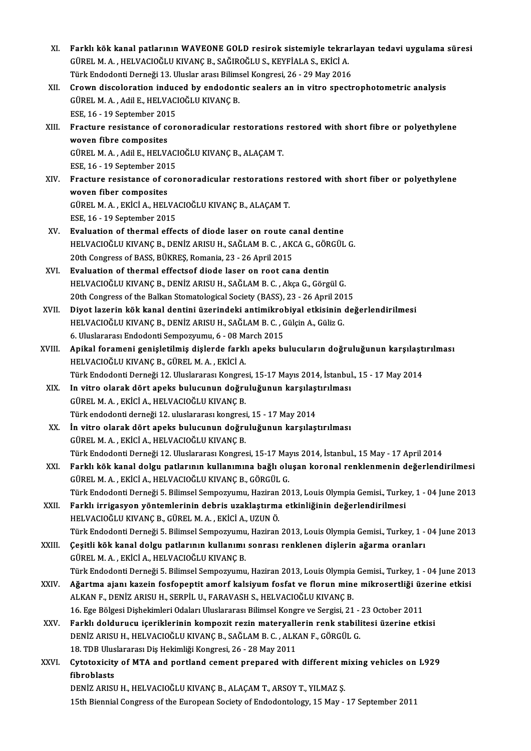- XI. Farklı kök kanal patlarının WAVEONE GOLD resirok sistemiyle tekrarlayan tedavi uygulama süresi<br>CÜPELM A. HELVACIOČLU KWANC B. SAĞIROĞLUS, KEVEİALA S. EKİÇİ A Farklı kök kanal patlarının WAVEONE GOLD resirok sistemiyle tekra:<br>GÜREL M. A. , HELVACIOĞLU KIVANÇ B., SAĞIROĞLU S., KEYFİALA S., EKİCİ A.<br>Türk Endedenti Derneği 12. Uluslar arası Bilimaal Kanarasi, 26., 29 May 2016 Farklı kök kanal patlarının WAVEONE GOLD resirok sistemiyle tekrar<br>GÜREL M. A. , HELVACIOĞLU KIVANÇ B., SAĞIROĞLU S., KEYFİALA S., EKİCİ A.<br>Türk Endodonti Derneği 13. Uluslar arası Bilimsel Kongresi, 26 - 29 May 2016<br>Crown GÜREL M. A. , HELVACIOĞLU KIVANÇ B., SAĞIROĞLU S., KEYFİALA S., EKİCİ A.<br>Türk Endodonti Derneği 13. Uluslar arası Bilimsel Kongresi, 26 - 29 May 2016<br>XII. Crown discoloration induced by endodontic sealers an in vitro s
- Türk Endodonti Derneği 13. Uluslar arası Bilimsel Kongresi, 26 29 May 2016<br>Crown discoloration induced by endodontic sealers an in vitro spect:<br>GÜREL M.A., Adil E., HELVACIOĞLU KIVANÇ B.<br>ESE, 16 19 September 2015 Crown discoloration induc<br>GÜREL M.A., Adil E., HELVAC<br>ESE, 16 - 19 September 2015<br>Fracture resistance of sor GÜREL M. A. , Adil E., HELVACIOĞLU KIVANÇ B.<br>ESE, 16 - 19 September 2015<br>XIII. Fracture resistance of coronoradicular restorations restored with short fibre or polyethylene<br>woven fibre composites
- ESE, 16 19 September 201<br>Fracture resistance of composites<br>C<sup>(IDEL M A Adil E HELV)</sub></sup> Fracture resistance of coronoradicular restorations<br>woven fibre composites<br>GÜREL M. A. , Adil E., HELVACIOĞLU KIVANÇ B., ALAÇAM T.<br>ESE 16 - 19 Sontamber 2015 woven fibre composites<br>GÜREL M. A. , Adil E., HELVACIOĞLU KIVANÇ B., ALAÇAM T.<br>ESE, 16 - 19 September 2015

GÜREL M. A. , Adil E., HELVACIOĞLU KIVANÇ B., ALAÇAM T.<br>ESE, 16 - 19 September 2015<br>XIV. Fracture resistance of coronoradicular restorations restored with short fiber or polyethylene<br>wowen fiber composites ESE, 16 - 19 September 201<br>Fracture resistance of composites<br>C<sup>(IDEL</sup> M A EV<sup>ICLA</sup> HEL) Fracture resistance of coronoradicular restorations r<br>woven fiber composites<br>GÜREL M. A. , EKİCİ A., HELVACIOĞLU KIVANÇ B., ALAÇAM T.<br>ESE 16 - 19 September 2015 woven fiber composites<br>GÜREL M. A. , EKİCİ A., HELVACIOĞLU KIVANÇ B., ALAÇAM T.<br>ESE, 16 - 19 September 2015

- GÜREL M. A., EKİCİ A., HELVACIOĞLU KIVANÇ B., ALAÇAM T.<br>ESE, 16 19 September 2015<br>XV. Evaluation of thermal effects of diode laser on route canal dentine<br>UELVACIOĞLU KIVANC B. DENİZ ARISLI H. SAĞLAM B. G. AKÇA G. GÖRÇÜL ESE, 16 - 19 September 2015<br>Evaluation of thermal effects of diode laser on route canal dentine<br>HELVACIOĞLU KIVANÇ B., DENİZ ARISU H., SAĞLAM B. C. , AKCA G., GÖRGÜL G.<br>20th Congress of BASS, BÜYPES, Bemania, 22, 26 Anril Evaluation of thermal effects of diode laser on route can<br>HELVACIOĞLU KIVANÇ B., DENİZ ARISU H., SAĞLAM B. C. , AK<br>20th Congress of BASS, BÜKREŞ, Romania, 23 - 26 April 2015<br>Evaluation of thermal effectes diode laser en ro HELVACIOĞLU KIVANÇ B., DENİZ ARISU H., SAĞLAM B. C. , AKCA G., GÖRGÜL G.<br>20th Congress of BASS, BÜKREŞ, Romania, 23 - 26 April 2015<br>XVI. Evaluation of thermal effectsof diode laser on root cana dentin
- HELVACIOĞLU KIVANÇ B., DENİZ ARISU H., SAĞLAM B. C., Akça G., Görgül G. Evaluation of thermal effectsof diode laser on root cana dentin<br>HELVACIOĞLU KIVANÇ B., DENİZ ARISU H., SAĞLAM B. C. , Akça G., Görgül G.<br>20th Congress of the Balkan Stomatological Society (BASS), 23 - 26 April 2015<br>Divet l HELVACIOĞLU KIVANÇ B., DENİZ ARISU H., SAĞLAM B. C. , Akça G., Görgül G.<br>20th Congress of the Balkan Stomatological Society (BASS), 23 - 26 April 2015<br>XVII. Diyot lazerin kök kanal dentini üzerindeki antimikrobiyal etkisin
- 20th Congress of the Balkan Stomatological Society (BASS), 23 26 April 201<br>Diyot lazerin kök kanal dentini üzerindeki antimikrobiyal etkisinin<br>HELVACIOĞLU KIVANÇ B., DENİZ ARISU H., SAĞLAM B. C. , Gülçin A., Güliz G.<br>6 H Diyot lazerin kök kanal dentini üzerindeki antimikrol<br>HELVACIOĞLU KIVANÇ B., DENİZ ARISU H., SAĞLAM B. C. , (<br>6. Uluslararası Endodonti Sempozyumu, 6 - 08 March 2015<br>Anikal forameni genişletilmiş dişlerde farklı aneks bı HELVACIOĞLU KIVANÇ B., DENİZ ARISU H., SAĞLAM B. C. , Gülçin A., Güliz G.<br>6. Uluslararası Endodonti Sempozyumu, 6 - 08 March 2015<br>XVIII. Apikal forameni genişletilmiş dişlerde farklı apeks bulucuların doğruluğunun karş
- 6. Uluslararası Endodonti Sempozyumu, 6 08 M;<br><mark>Apikal forameni genişletilmiş dişlerde farkl</mark><br>HELVACIOĞLU KIVANÇ B., GÜREL M. A. , EKİCİ A.<br>Türk Endodonti Derneği 12. Uluslararası Kongres Apikal forameni genişletilmiş dişlerde farklı apeks bulucuların doğruluğunun karşılaştı<br>HELVACIOĞLU KIVANÇ B., GÜREL M. A. , EKİCİ A.<br>Türk Endodonti Derneği 12. Uluslararası Kongresi, 15-17 Mayıs 2014, İstanbul., 15 - 17 M HELVACIOĞLU KIVANÇ B., GÜREL M. A. , EKİCİ A.<br>Türk Endodonti Derneği 12. Uluslararası Kongresi, 15-17 Mayıs 2014, İstanbul<br>XIX. İn vitro olarak dört apeks bulucunun doğruluğunun karşılaştırılması<br>CÜRELM A. EKİCİ A. HELVACI
- Türk Endodonti Derneği 12. Uluslararası Kongres<br>In vitro olarak dört apeks bulucunun doğru<br>GÜREL M. A. , EKİCİ A., HELVACIOĞLU KIVANÇ B.<br>Türk endodonti derneği 12. uluslararası kongresi In vitro olarak dört apeks bulucunun doğruluğunun karşılaşı<br>GÜREL M. A. , EKİCİ A., HELVACIOĞLU KIVANÇ B.<br>Türk endodonti derneği 12. uluslararası kongresi, 15 - 17 May 2014<br>İn uitro olarak dört anaks bulucunun doğruluğunun
- GÜREL M. A. , EKİCİ A., HELVACIOĞLU KIVANÇ B.<br>Türk endodonti derneği 12. uluslararası kongresi, 15 17 May 2014<br>XX. İn vitro olarak dört apeks bulucunun doğruluğunun karşılaştırılması<br>GÜREL M. A. , EKİCİ A., HELVACIOĞLU K Türk endodonti derneği 12. uluslararası kongresi<br>İn vitro olarak dört apeks bulucunun doğru<br>GÜREL M. A. , EKİCİ A., HELVACIOĞLU KIVANÇ B.<br>Türk Endodonti Derneği 12. Uluslararası Kongres İn vitro olarak dört apeks bulucunun doğruluğunun karşılaştırılması<br>GÜREL M. A. , EKİCİ A., HELVACIOĞLU KIVANÇ B.<br>Türk Endodonti Derneği 12. Uluslararası Kongresi, 15-17 Mayıs 2014, İstanbul., 15 May - 17 April 2014<br>Farklı
- XXI. Farklı kök kanal dolgu patlarının kullanımına bağlı oluşan koronal renklenmenin değerlendirilmesi<br>GÜREL M. A., EKİCİ A., HELVACIOĞLU KIVANÇ B., GÖRGÜL G. Türk Endodonti Derneği 12. Uluslararası Kongresi, 15-17 May<br>Farklı kök kanal dolgu patlarının kullanımına bağlı olu<br>GÜREL M. A. , EKİCİ A., HELVACIOĞLU KIVANÇ B., GÖRGÜL G.<br>Türk Endodonti Derneği E. Bilimesi Semnegyaymu, H Farklı kök kanal dolgu patlarının kullanımına bağlı oluşan koronal renklenmenin değerlendirilmesi<br>GÜREL M. A. , EKİCİ A., HELVACIOĞLU KIVANÇ B., GÖRGÜL G.<br>Türk Endodonti Derneği 5. Bilimsel Sempozyumu, Haziran 2013, Louis GÜREL M. A. , EKİCİ A., HELVACIOĞLU KIVANÇ B., GÖRGÜL G.<br>Türk Endodonti Derneği 5. Bilimsel Sempozyumu, Haziran 2013, Louis Olympia Gemisi., Turke<br>XXII. Farklı irrigasyon yöntemlerinin debris uzaklaştırma etkinliğinin
- Türk Endodonti Derneği 5. Bilimsel Sempozyumu, Haziran<br>Farklı irrigasyon yöntemlerinin debris uzaklaştırma<br>HELVACIOĞLU KIVANÇ B., GÜREL M. A. , EKİCİ A., UZUN Ö.<br>Türk Endodonti Derneği 5. Bilimsel Sempozyumu, Haziran Farklı irrigasyon yöntemlerinin debris uzaklaştırma etkinliğinin değerlendirilmesi<br>HELVACIOĞLU KIVANÇ B., GÜREL M. A. , EKİCİ A., UZUN Ö.<br>Türk Endodonti Derneği 5. Bilimsel Sempozyumu, Haziran 2013, Louis Olympia Gemisi., HELVACIOĞLU KIVANÇ B., GÜREL M. A. , EKİCİ A., UZUN Ö.<br>Türk Endodonti Derneği 5. Bilimsel Sempozyumu, Haziran 2013, Louis Olympia Gemisi., Turkey, 1 -<br>XXIII. Çeşitli kök kanal dolgu patlarının kullanımı sonrası renklen
- Türk Endodonti Derneği 5. Bilimsel Sempozyumu<br>Çeşitli kök kanal dolgu patlarının kullanımı<br>GÜREL M. A. , EKİCİ A., HELVACIOĞLU KIVANÇ B.<br>Türk Endodonti Derneği 5. Bilimsel Sempozyumu Çeşitli kök kanal dolgu patlarının kullanımı sonrası renklenen dişlerin ağarma oranları<br>GÜREL M. A. , EKİCİ A., HELVACIOĞLU KIVANÇ B.<br>Türk Endodonti Derneği 5. Bilimsel Sempozyumu, Haziran 2013, Louis Olympia Gemisi., Turk
- GÜREL M. A. , EKİCİ A., HELVACIOĞLU KIVANÇ B.<br>Türk Endodonti Derneği 5. Bilimsel Sempozyumu, Haziran 2013, Louis Olympia Gemisi., Turkey, 1 04 June 2013<br>ALKAN E. DENİZ ARISLI U. SERRİL IL FARAVASH S. HELVACIOĞLU KIVANC B Türk Endodonti Derneği 5. Bilimsel Sempozyumu, Haziran 2013, Louis Olympia<br>Ağartma ajanı kazein fosfopeptit amorf kalsiyum fosfat ve florun mine<br>ALKAN F., DENİZ ARISU H., SERPİL U., FARAVASH S., HELVACIOĞLU KIVANÇ B.<br>16. E Ağartma ajanı kazein fosfopeptit amorf kalsiyum fosfat ve florun mine mikrosertliği üzerine etkisi<br>ALKAN F., DENİZ ARISU H., SERPİL U., FARAVASH S., HELVACIOĞLU KIVANÇ B.<br>16. Ege Bölgesi Dişhekimleri Odaları Uluslararası B ALKAN F., DENİZ ARISU H., SERPİL U., FARAVASH S., HELVACIOĞLU KIVANÇ B.<br>16. Ege Bölgesi Dişhekimleri Odaları Uluslararası Bilimsel Kongre ve Sergisi, 21 - 23 October 2011<br>XXV. Farklı doldurucu içeriklerinin kompozit rezin
- 16. Ege Bölgesi Dişhekimleri Odaları Uluslararası Bilimsel Kongre ve Sergisi, 21 -<br>Farklı doldurucu içeriklerinin kompozit rezin materyallerin renk stabili<br>DENİZ ARISU H., HELVACIOĞLU KIVANÇ B., SAĞLAM B. C. , ALKAN F., GÖ DENİZ ARISU H., HELVACIOĞLU KIVANÇ B., SAĞLAM B. C. , ALKAN F., GÖRGÜL G.<br>18. TDB Uluslararası Diş Hekimliği Kongresi, 26 - 28 May 2011 DENİZ ARISU H., HELVACIOĞLU KIVANÇ B., SAĞLAM B. C. , ALKAN F., GÖRGÜL G.<br>18. TDB Uluslararası Diş Hekimliği Kongresi, 26 - 28 May 2011<br>XXVI. Cytotoxicity of MTA and portland cement prepared with different mixing vehic
- 18. TDB Ulus<br>Cytotoxicity<br>fibroblasts<br>DENIZ ARISI Cytotoxicity of MTA and portland cement prepared with different m<br>fibroblasts<br>DENİZ ARISU H., HELVACIOĞLU KIVANÇ B., ALAÇAM T., ARSOY T., YILMAZ Ş.<br>15th Biannial Congress of the European Seciety of Endedentelegy 15 Mey.

fibroblasts<br>DENİZ ARISU H., HELVACIOĞLU KIVANÇ B., ALAÇAM T., ARSOY T., YILMAZ Ş.<br>15th Biennial Congress of the European Society of Endodontology, 15 May - 17 September 2011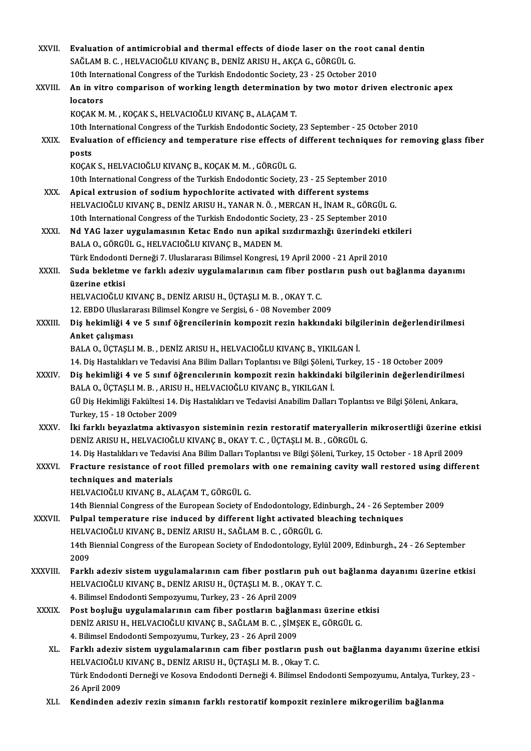| XXVII.       | Evaluation of antimicrobial and thermal effects of diode laser on the root canal dentin                                                                                                |
|--------------|----------------------------------------------------------------------------------------------------------------------------------------------------------------------------------------|
|              | SAĞLAM B. C., HELVACIOĞLU KIVANÇ B., DENİZ ARISU H., AKÇA G., GÖRGÜL G.                                                                                                                |
|              | 10th International Congress of the Turkish Endodontic Society, 23 - 25 October 2010                                                                                                    |
| XXVIII.      | An in vitro comparison of working length determination by two motor driven electronic apex                                                                                             |
|              | locators                                                                                                                                                                               |
|              | KOÇAK M. M., KOÇAK S., HELVACIOĞLU KIVANÇ B., ALAÇAM T.                                                                                                                                |
|              | 10th International Congress of the Turkish Endodontic Society, 23 September - 25 October 2010                                                                                          |
| XXIX.        | Evaluation of efficiency and temperature rise effects of different techniques for removing glass fiber<br>posts                                                                        |
|              | KOÇAK S., HELVACIOĞLU KIVANÇ B., KOÇAK M. M., GÖRGÜL G.                                                                                                                                |
|              | 10th International Congress of the Turkish Endodontic Society, 23 - 25 September 2010                                                                                                  |
| XXX.         | Apical extrusion of sodium hypochlorite activated with different systems                                                                                                               |
|              | HELVACIOĞLU KIVANÇ B., DENİZ ARISU H., YANAR N. Ö., MERCAN H., İNAM R., GÖRGÜL G.                                                                                                      |
|              | 10th International Congress of the Turkish Endodontic Society, 23 - 25 September 2010                                                                                                  |
| XXXI.        | Nd YAG lazer uygulamasının Ketac Endo nun apikal sızdırmazlığı üzerindeki etkileri                                                                                                     |
|              | BALA O., GÖRGÜL G., HELVACIOĞLU KIVANÇ B., MADEN M.                                                                                                                                    |
|              | Türk Endodonti Derneği 7. Uluslararası Bilimsel Kongresi, 19 April 2000 - 21 April 2010                                                                                                |
| XXXII.       | Suda bekletme ve farklı adeziv uygulamalarının cam fiber postların push out bağlanma dayanımı                                                                                          |
|              | üzerine etkisi                                                                                                                                                                         |
|              | HELVACIOĞLU KIVANÇ B., DENİZ ARISU H., ÜÇTAŞLI M. B., OKAY T. C.                                                                                                                       |
| XXXIII.      | 12. EBDO Uluslararası Bilimsel Kongre ve Sergisi, 6 - 08 November 2009                                                                                                                 |
|              | Diş hekimliği 4 ve 5 sınıf öğrencilerinin kompozit rezin hakkındaki bilgilerinin değerlendirilmesi<br>Anket çalışması                                                                  |
|              | BALA O., ÜÇTAŞLI M. B., DENİZ ARISU H., HELVACIOĞLU KIVANÇ B., YIKILGAN İ.                                                                                                             |
|              | 14. Diş Hastalıkları ve Tedavisi Ana Bilim Dalları Toplantısı ve Bilgi Şöleni, Turkey, 15 - 18 October 2009                                                                            |
| <b>XXXIV</b> | Diş hekimliği 4 ve 5 sınıf öğrencılerınin kompozit rezin hakkindaki bilgilerinin değerlendirilmesi<br>BALA O., ÜÇTAŞLI M. B., ARISU H., HELVACIOĞLU KIVANÇ B., YIKILGAN İ.             |
|              | GÜ Diş Hekimliği Fakültesi 14. Diş Hastalıkları ve Tedavisi Anabilim Dalları Toplantısı ve Bilgi Şöleni, Ankara,<br>Turkey, 15 - 18 October 2009                                       |
| XXXV.        | İki farklı beyazlatma aktivasyon sisteminin rezin restoratif materyallerin mikrosertliği üzerine etkisi<br>DENİZ ARISU H., HELVACIOĞLU KIVANÇ B., OKAY T. C., ÜÇTAŞLI M. B., GÖRGÜL G. |
|              | 14. Diş Hastalıkları ve Tedavisi Ana Bilim Dalları Toplantısı ve Bilgi Şöleni, Turkey, 15 October - 18 April 2009                                                                      |
| XXXVI.       | Fracture resistance of root filled premolars with one remaining cavity wall restored using different                                                                                   |
|              | techniques and materials                                                                                                                                                               |
|              | HELVACIOĞLU KIVANÇ B., ALAÇAM T., GÖRGÜL G.                                                                                                                                            |
|              | 14th Biennial Congress of the European Society of Endodontology, Edinburgh., 24 - 26 September 2009                                                                                    |
| XXXVII.      | Pulpal temperature rise induced by different light activated bleaching techniques                                                                                                      |
|              | HELVACIOĞLU KIVANÇ B., DENİZ ARISU H., SAĞLAM B. C., GÖRGÜL G.                                                                                                                         |
|              | 14th Biennial Congress of the European Society of Endodontology, Eylül 2009, Edinburgh., 24 - 26 September<br>2009                                                                     |
| XXXVIII.     | Farklı adeziv sistem uygulamalarının cam fiber postların puh out bağlanma dayanımı üzerine etkisi                                                                                      |
|              | HELVACIOĞLU KIVANÇ B., DENİZ ARISU H., ÜÇTAŞLI M. B., OKAY T. C.                                                                                                                       |
|              | 4. Bilimsel Endodonti Sempozyumu, Turkey, 23 - 26 April 2009                                                                                                                           |
| <b>XXXIX</b> | Post boşluğu uygulamalarının cam fiber postların bağlanması üzerine etkisi                                                                                                             |
|              | DENİZ ARISU H., HELVACIOĞLU KIVANÇ B., SAĞLAM B. C., ŞİMŞEK E., GÖRGÜL G.                                                                                                              |
|              | 4. Bilimsel Endodonti Sempozyumu, Turkey, 23 - 26 April 2009                                                                                                                           |
| XL.          | Farklı adeziv sistem uygulamalarının cam fiber postların push out bağlanma dayanımı üzerine etkisi                                                                                     |
|              | HELVACIOĞLU KIVANÇ B., DENİZ ARISU H., ÜÇTAŞLI M. B., Okay T. C.                                                                                                                       |
|              | Türk Endodonti Derneği ve Kosova Endodonti Derneği 4. Bilimsel Endodonti Sempozyumu, Antalya, Turkey, 23 -                                                                             |
|              | 26 April 2009                                                                                                                                                                          |
| XLI.         | Kendinden adeziv rezin simanın farklı restoratif kompozit rezinlere mikrogerilim bağlanma                                                                                              |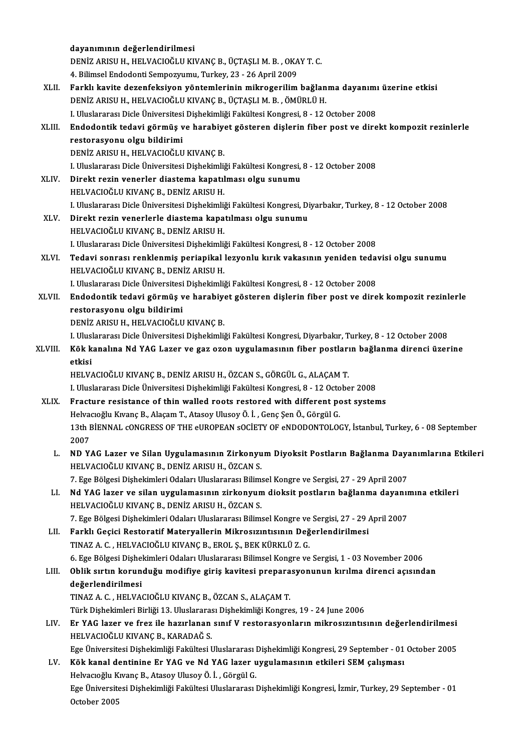|         | dayanımının değerlendirilmesi                                                                                |
|---------|--------------------------------------------------------------------------------------------------------------|
|         | DENİZ ARISU H., HELVACIOĞLU KIVANÇ B., ÜÇTAŞLI M. B., OKAY T. C.                                             |
|         | 4. Bilimsel Endodonti Sempozyumu, Turkey, 23 - 26 April 2009                                                 |
| XLII.   | Farklı kavite dezenfeksiyon yöntemlerinin mikrogerilim bağlanma dayanımı üzerine etkisi                      |
|         | DENİZ ARISU H., HELVACIOĞLU KIVANÇ B., ÜÇTAŞLI M. B., ÖMÜRLÜ H.                                              |
|         | I. Uluslararası Dicle Üniversitesi Dişhekimliği Fakültesi Kongresi, 8 - 12 October 2008                      |
| XLIII.  | Endodontik tedavi görmüş ve harabiyet gösteren dişlerin fiber post ve direkt kompozit rezinlerle             |
|         | restorasyonu olgu bildirimi                                                                                  |
|         | DENİZ ARISU H., HELVACIOĞLU KIVANÇ B.                                                                        |
|         | I. Uluslararası Dicle Üniversitesi Dişhekimliği Fakültesi Kongresi, 8 - 12 October 2008                      |
| XLIV.   | Direkt rezin venerler diastema kapatılması olgu sunumu                                                       |
|         | HELVACIOĞLU KIVANÇ B., DENİZ ARISU H.                                                                        |
|         | I. Uluslararası Dicle Üniversitesi Dişhekimliği Fakültesi Kongresi, Diyarbakır, Turkey, 8 - 12 October 2008  |
| XLV.    | Direkt rezin venerlerle diastema kapatılması olgu sunumu                                                     |
|         | HELVACIOĞLU KIVANÇ B., DENİZ ARISU H.                                                                        |
|         | I. Uluslararası Dicle Üniversitesi Dişhekimliği Fakültesi Kongresi, 8 - 12 October 2008                      |
| XLVI.   | Tedavi sonrası renklenmiş periapikal lezyonlu kırık vakasının yeniden tedavisi olgu sunumu                   |
|         | HELVACIOĞLU KIVANÇ B., DENİZ ARISU H.                                                                        |
|         | I. Uluslararası Dicle Üniversitesi Dişhekimliği Fakültesi Kongresi, 8 - 12 October 2008                      |
| XLVII.  | Endodontik tedavi görmüş ve harabiyet gösteren dişlerin fiber post ve direk kompozit rezinlerle              |
|         | restorasyonu olgu bildirimi                                                                                  |
|         | DENİZ ARISU H., HELVACIOĞLU KIVANÇ B.                                                                        |
|         | I. Uluslararası Dicle Üniversitesi Dişhekimliği Fakültesi Kongresi, Diyarbakır, Turkey, 8 - 12 October 2008  |
| XLVIII. | Kök kanalına Nd YAG Lazer ve gaz ozon uygulamasının fiber postların bağlanma direnci üzerine                 |
|         | etkisi                                                                                                       |
|         | HELVACIOĞLU KIVANÇ B., DENİZ ARISU H., ÖZCAN S., GÖRGÜL G., ALAÇAM T.                                        |
|         | I. Uluslararası Dicle Üniversitesi Dişhekimliği Fakültesi Kongresi, 8 - 12 October 2008                      |
| XLIX.   | Fracture resistance of thin walled roots restored with different post systems                                |
|         | Helvacıoğlu Kıvanç B., Alaçam T., Atasoy Ulusoy Ö. İ., Genç Şen Ö., Görgül G.                                |
|         | 13th BİENNAL CONGRESS OF THE eUROPEAN SOCİETY OF eNDODONTOLOGY, İstanbul, Turkey, 6 - 08 September           |
|         | 2007                                                                                                         |
| L.      | ND YAG Lazer ve Silan Uygulamasının Zirkonyum Diyoksit Postların Bağlanma Dayanımlarına Etkileri             |
|         | HELVACIOĞLU KIVANÇ B., DENİZ ARISU H., ÖZCAN S.                                                              |
|         | 7. Ege Bölgesi Dişhekimleri Odaları Uluslararası Bilimsel Kongre ve Sergisi, 27 - 29 April 2007              |
| LI.     | Nd YAG lazer ve silan uygulamasının zirkonyum dioksit postların bağlanma dayanımına etkileri                 |
|         | HELVACIOĞLU KIVANÇ B., DENİZ ARISU H., ÖZCAN S.                                                              |
|         | 7. Ege Bölgesi Dişhekimleri Odaları Uluslararası Bilimsel Kongre ve Sergisi, 27 - 29 April 2007              |
| LII.    | Farklı Geçici Restoratif Materyallerin Mikrosızıntısının Değerlendirilmesi                                   |
|         | TINAZ A. C., HELVACIOĞLU KIVANÇ B., EROL Ş., BEK KÜRKLÜ Z. G.                                                |
|         | 6. Ege Bölgesi Dişhekimleri Odaları Uluslararası Bilimsel Kongre ve Sergisi, 1 - 03 November 2006            |
| LIII.   | Oblik sırtın korunduğu modifiye giriş kavitesi preparasyonunun kırılma direnci açısından                     |
|         | değerlendirilmesi                                                                                            |
|         | TINAZ A. C., HELVACIOĞLU KIVANÇ B., ÖZCAN S., ALAÇAM T.                                                      |
|         | Türk Dişhekimleri Birliği 13. Uluslararası Dişhekimliği Kongres, 19 - 24 June 2006                           |
| LIV.    | Er YAG lazer ve frez ile hazırlanan sınıf V restorasyonların mikrosızıntısının değerlendirilmesi             |
|         | HELVACIOĞLU KIVANÇ B., KARADAĞ S.                                                                            |
|         | Ege Üniversitesi Dişhekimliği Fakültesi Uluslararası Dişhekimliği Kongresi, 29 September - 01 October 2005   |
| LV.     | Kök kanal dentinine Er YAG ve Nd YAG lazer uygulamasının etkileri SEM çalışması                              |
|         | Helvacioğlu Kivanç B., Atasoy Ulusoy Ö. İ., Görgül G.                                                        |
|         | Ege Üniversitesi Dişhekimliği Fakültesi Uluslararası Dişhekimliği Kongresi, İzmir, Turkey, 29 September - 01 |
|         | October 2005                                                                                                 |
|         |                                                                                                              |